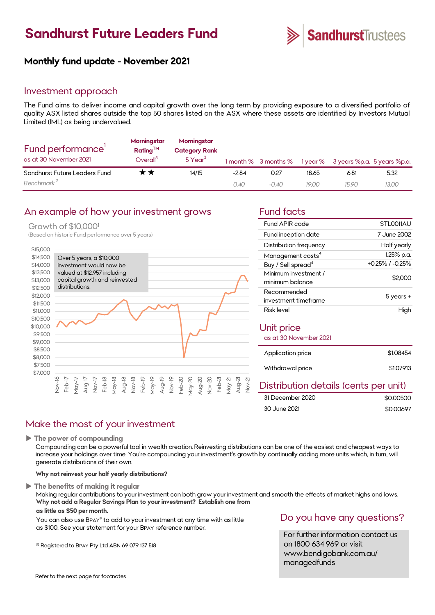# **Sandhurst Future Leaders Fund**



### **Monthly fund update - November 2021**

### Investment approach

The Fund aims to deliver income and capital growth over the long term by providing exposure to a diversified portfolio of quality ASX listed shares outside the top 50 shares listed on the ASX where these assets are identified by Investors Mutual Limited (IML) as being undervalued.

| Fund performance'<br>as at 30 November 2021 | Morningstar<br>Rating <sup>TM</sup><br>Overall <sup>3</sup> | Morningstar<br><b>Category Rank</b><br>$5$ Year <sup>3</sup> |         |         |       | 1 month % 3 months % 1 year % 3 years %p.a. 5 years %p.a. |       |
|---------------------------------------------|-------------------------------------------------------------|--------------------------------------------------------------|---------|---------|-------|-----------------------------------------------------------|-------|
| Sandhurst Future Leaders Fund               | * *                                                         | 14/15                                                        | $-2.84$ | 0.27    | 18.65 | 6.81                                                      | 5.32  |
| Benchmark <sup>2</sup>                      |                                                             |                                                              | 0.40    | $-0.40$ | 19.00 | 15.90                                                     | 13.00 |

### An example of how your investment grows Fund facts

#### Growth of \$10,000<sup>1</sup>

(Based on historic Fund performance over 5 years)



| Fund APIR code                          | STLO011AU       |  |  |
|-----------------------------------------|-----------------|--|--|
| Fund inception date                     | 7 June 2002     |  |  |
| Distribution frequency                  | Half yearly     |  |  |
| Management costs <sup>4</sup>           | 1.25% p.a.      |  |  |
| Buy / Sell spread <sup>4</sup>          | +0.25% / -0.25% |  |  |
| Minimum investment /<br>minimum balance | \$2,000         |  |  |
| Recommended                             | 5 years +       |  |  |
| investment timeframe                    |                 |  |  |
| Risk level                              | High            |  |  |
| Unit price                              |                 |  |  |
| as at 30 November 2021                  |                 |  |  |
| Application price                       | \$1.08454       |  |  |
| Withdrawal price                        | \$1,07913       |  |  |
|                                         |                 |  |  |

### Distribution details (cents per unit)

| 31 December 2020 | \$0,00500 |
|------------------|-----------|
| 30 June 2021     | \$0,00697 |

### Make the most of your investment

**The power of compounding**

Compounding can be a powerful tool in wealth creation. Reinvesting distributions can be one of the easiest and cheapest ways to increase your holdings over time. You're compounding your investment's growth by continually adding more units which, in turn, will generate distributions of their own.

**Why not reinvest your half yearly distributions?**

#### **The benefits of making it regular**

Making regular contributions to your investment can both grow your investment and smooth the effects of market highs and lows. **Why not add a Regular Savings Plan to your investment? Establish one from**

### **as little as \$50 per month.**

You can also use BPAY® to add to your investment at any time with as little as \$100. See your statement for your BPAY reference number.

® Registered to BPAY Pty Ltd ABN 69 079 137 518

### Do you have any questions?

For further information contact us on 1800 634 969 or visit www.bendigobank.com.au/ managedfunds